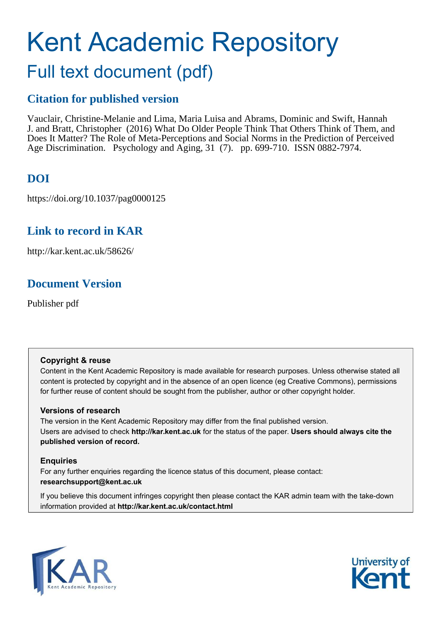# Kent Academic Repository

## Full text document (pdf)

## **Citation for published version**

Vauclair, Christine-Melanie and Lima, Maria Luisa and Abrams, Dominic and Swift, Hannah J. and Bratt, Christopher (2016) What Do Older People Think That Others Think of Them, and Does It Matter? The Role of Meta-Perceptions and Social Norms in the Prediction of Perceived Age Discrimination. Psychology and Aging, 31 (7). pp. 699-710. ISSN 0882-7974.

## **DOI**

https://doi.org/10.1037/pag0000125

## **Link to record in KAR**

http://kar.kent.ac.uk/58626/

## **Document Version**

Publisher pdf

#### **Copyright & reuse**

Content in the Kent Academic Repository is made available for research purposes. Unless otherwise stated all content is protected by copyright and in the absence of an open licence (eg Creative Commons), permissions for further reuse of content should be sought from the publisher, author or other copyright holder.

#### **Versions of research**

The version in the Kent Academic Repository may differ from the final published version. Users are advised to check **http://kar.kent.ac.uk** for the status of the paper. **Users should always cite the published version of record.**

#### **Enquiries**

For any further enquiries regarding the licence status of this document, please contact: **researchsupport@kent.ac.uk**

If you believe this document infringes copyright then please contact the KAR admin team with the take-down information provided at **http://kar.kent.ac.uk/contact.html**



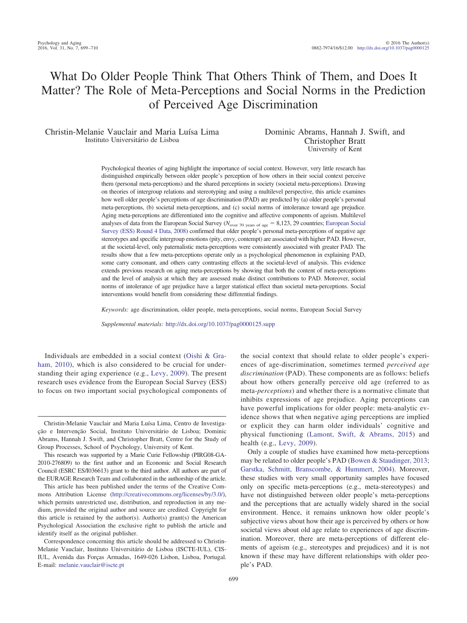### What Do Older People Think That Others Think of Them, and Does It Matter? The Role of Meta-Perceptions and Social Norms in the Prediction of Perceived Age Discrimination

#### Christin-Melanie Vauclair and Maria Luísa Lima Instituto Universitário de Lisboa

Dominic Abrams, Hannah J. Swift, and Christopher Bratt University of Kent

Psychological theories of aging highlight the importance of social context. However, very little research has distinguished empirically between older people's perception of how others in their social context perceive them (personal meta-perceptions) and the shared perceptions in society (societal meta-perceptions). Drawing on theories of intergroup relations and stereotyping and using a multilevel perspective, this article examines how well older people's perceptions of age discrimination (PAD) are predicted by (a) older people's personal meta-perceptions, (b) societal meta-perceptions, and (c) social norms of intolerance toward age prejudice. Aging meta-perceptions are differentiated into the cognitive and affective components of ageism. Multilevel analyses of data from the [European Social](#page-10-0) Survey ( $N_{over 70 years of age} = 8,123, 29$  countries; European Social [Survey \(ESS\) Round 4 Data, 2008\)](#page-10-0) confirmed that older people's personal meta-perceptions of negative age stereotypes and specific intergroup emotions (pity, envy, contempt) are associated with higher PAD. However, at the societal-level, only paternalistic meta-perceptions were consistently associated with greater PAD. The results show that a few meta-perceptions operate only as a psychological phenomenon in explaining PAD, some carry consonant, and others carry contrasting effects at the societal-level of analysis. This evidence extends previous research on aging meta-perceptions by showing that both the content of meta-perceptions and the level of analysis at which they are assessed make distinct contributions to PAD. Moreover, social norms of intolerance of age prejudice have a larger statistical effect than societal meta-perceptions. Social interventions would benefit from considering these differential findings.

*Keywords:* age discrimination, older people, meta-perceptions, social norms, European Social Survey

*Supplemental materials:* http://dx.doi.org[/10.1037/pag0000125.supp](http://dx.doi.org/10.1037/pag0000125.supp)

Individuals are embedded in a social context [\(Oishi & Gra](#page-11-0)[ham, 2010\)](#page-11-0), which is also considered to be crucial for understanding their aging experience (e.g., [Levy, 2009\)](#page-10-1). The present research uses evidence from the European Social Survey (ESS) to focus on two important social psychological components of

This article has been published under the terms of the Creative Commons Attribution License [\(http://creativecommons.org/licenses/by/3.0/\)](http://creativecommons.org/licenses/by/3.0/), which permits unrestricted use, distribution, and reproduction in any medium, provided the original author and source are credited. Copyright for this article is retained by the author(s). Author(s) grant(s) the American Psychological Association the exclusive right to publish the article and identify itself as the original publisher.

the social context that should relate to older people's experiences of age-discrimination, sometimes termed *perceived age discrimination* (PAD). These components are as follows: beliefs about how others generally perceive old age (referred to as meta-*perceptions*) and whether there is a normative climate that inhibits expressions of age prejudice. Aging perceptions can have powerful implications for older people: meta-analytic evidence shows that when negative aging perceptions are implied or explicit they can harm older individuals' cognitive and physical functioning [\(Lamont, Swift, & Abrams, 2015\)](#page-10-2) and health (e.g., [Levy, 2009\)](#page-10-1).

Only a couple of studies have examined how meta-perceptions may be related to older people's PAD [\(Bowen & Staudinger, 2013;](#page-10-3) [Garstka, Schmitt, Branscombe, & Hummert, 2004\)](#page-10-4). Moreover, these studies with very small opportunity samples have focused only on specific meta-perceptions (e.g., meta-stereotypes) and have not distinguished between older people's meta-perceptions and the perceptions that are actually widely shared in the social environment. Hence, it remains unknown how older people's subjective views about how their age is perceived by others or how societal views about old age relate to experiences of age discrimination. Moreover, there are meta-perceptions of different elements of ageism (e.g., stereotypes and prejudices) and it is not known if these may have different relationships with older people's PAD.

Christin-Melanie Vauclair and Maria Luísa Lima, Centro de Investigação e Intervenção Social, Instituto Universitário de Lisboa; Dominic Abrams, Hannah J. Swift, and Christopher Bratt, Centre for the Study of Group Processes, School of Psychology, University of Kent.

This research was supported by a Marie Curie Fellowship (PIRG08-GA-2010-276809) to the first author and an Economic and Social Research Council (ESRC ES/I036613) grant to the third author. All authors are part of the EURAGE Research Team and collaborated in the authorship of the article.

Correspondence concerning this article should be addressed to Christin-Melanie Vauclair, Instituto Universitário de Lisboa (ISCTE-IUL), CIS-IUL, Avenida das Forças Armadas, 1649-026 Lisbon, Lisboa, Portugal. E-mail: [melanie.vauclair@iscte.pt](mailto:melanie.vauclair@iscte.pt)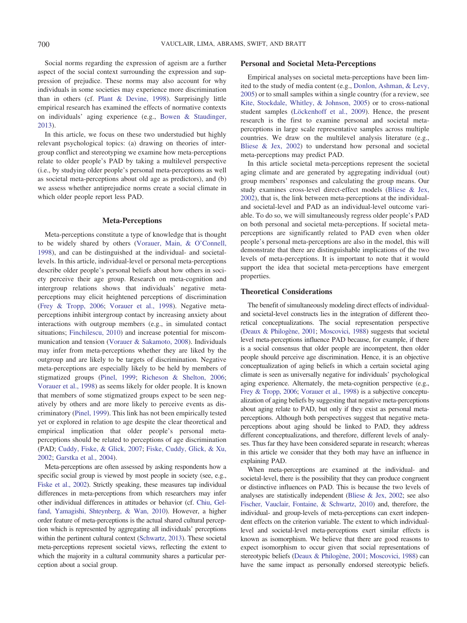Social norms regarding the expression of ageism are a further aspect of the social context surrounding the expression and suppression of prejudice. These norms may also account for why individuals in some societies may experience more discrimination than in others (cf. [Plant & Devine, 1998\)](#page-11-1). Surprisingly little empirical research has examined the effects of normative contexts on individuals' aging experience (e.g., [Bowen & Staudinger,](#page-10-3) [2013\)](#page-10-3).

In this article, we focus on these two understudied but highly relevant psychological topics: (a) drawing on theories of intergroup conflict and stereotyping we examine how meta-perceptions relate to older people's PAD by taking a multilevel perspective (i.e., by studying older people's personal meta-perceptions as well as societal meta-perceptions about old age as predictors), and (b) we assess whether antiprejudice norms create a social climate in which older people report less PAD.

#### **Meta-Perceptions**

Meta-perceptions constitute a type of knowledge that is thought to be widely shared by others [\(Vorauer, Main, & O'Connell,](#page-11-2) [1998\)](#page-11-2), and can be distinguished at the individual- and societallevels. In this article, individual-level or personal meta-perceptions describe older people's personal beliefs about how others in society perceive their age group. Research on meta-cognition and intergroup relations shows that individuals' negative metaperceptions may elicit heightened perceptions of discrimination [\(Frey & Tropp, 2006;](#page-10-5) [Vorauer et al., 1998\)](#page-11-3). Negative metaperceptions inhibit intergroup contact by increasing anxiety about interactions with outgroup members (e.g., in simulated contact situations; [Finchilescu, 2010\)](#page-10-6) and increase potential for miscommunication and tension [\(Vorauer & Sakamoto, 2008\)](#page-11-2). Individuals may infer from meta-perceptions whether they are liked by the outgroup and are likely to be targets of discrimination. Negative meta-perceptions are especially likely to be held by members of stigmatized groups [\(Pinel, 1999;](#page-11-4) [Richeson & Shelton, 2006;](#page-11-5) [Vorauer et al., 1998\)](#page-11-3) as seems likely for older people. It is known that members of some stigmatized groups expect to be seen negatively by others and are more likely to perceive events as discriminatory [\(Pinel, 1999\)](#page-11-4). This link has not been empirically tested yet or explored in relation to age despite the clear theoretical and empirical implication that older people's personal metaperceptions should be related to perceptions of age discrimination (PAD; [Cuddy, Fiske, & Glick, 2007;](#page-10-7) [Fiske, Cuddy, Glick, & Xu,](#page-10-8) [2002;](#page-10-8) [Garstka et al., 2004\)](#page-10-4).

Meta-perceptions are often assessed by asking respondents how a specific social group is viewed by most people in society (see, e.g., [Fiske et al., 2002\)](#page-10-8). Strictly speaking, these measures tap individual differences in meta-perceptions from which researchers may infer other individual differences in attitudes or behavior (cf. [Chiu, Gel](#page-10-9)[fand, Yamagishi, Shteynberg, & Wan, 2010\)](#page-10-9). However, a higher order feature of meta-perceptions is the actual shared cultural perception which is represented by aggregating all individuals' perceptions within the pertinent cultural context [\(Schwartz, 2013\)](#page-11-6). These societal meta-perceptions represent societal views, reflecting the extent to which the majority in a cultural community shares a particular perception about a social group.

#### **Personal and Societal Meta-Perceptions**

Empirical analyses on societal meta-perceptions have been limited to the study of media content (e.g., [Donlon, Ashman, & Levy,](#page-10-10) [2005\)](#page-10-10) or to small samples within a single country (for a review, see [Kite, Stockdale, Whitley, & Johnson, 2005\)](#page-10-11) or to cross-national student samples [\(Löckenhoff et al., 2009\)](#page-11-7). Hence, the present research is the first to examine personal and societal metaperceptions in large scale representative samples across multiple countries. We draw on the multilevel analysis literature (e.g., [Bliese & Jex, 2002\)](#page-10-12) to understand how personal and societal meta-perceptions may predict PAD.

In this article societal meta-perceptions represent the societal aging climate and are generated by aggregating individual (out) group members' responses and calculating the group means. Our study examines cross-level direct-effect models [\(Bliese & Jex,](#page-10-12) [2002\)](#page-10-12), that is, the link between meta-perceptions at the individualand societal-level and PAD as an individual-level outcome variable. To do so, we will simultaneously regress older people's PAD on both personal and societal meta-perceptions. If societal metaperceptions are significantly related to PAD even when older people's personal meta-perceptions are also in the model, this will demonstrate that there are distinguishable implications of the two levels of meta-perceptions. It is important to note that it would support the idea that societal meta-perceptions have emergent properties.

#### **Theoretical Considerations**

The benefit of simultaneously modeling direct effects of individualand societal-level constructs lies in the integration of different theoretical conceptualizations. The social representation perspective [\(Deaux & Philogène, 2001;](#page-10-13) [Moscovici, 1988\)](#page-11-8) suggests that societal level meta-perceptions influence PAD because, for example, if there is a social consensus that older people are incompetent, then older people should perceive age discrimination. Hence, it is an objective conceptualization of aging beliefs in which a certain societal aging climate is seen as universally negative for individuals' psychological aging experience. Alternately, the meta-cognition perspective (e.g., [Frey & Tropp, 2006;](#page-10-5) [Vorauer et al., 1998\)](#page-11-3) is a subjective conceptualization of aging beliefs by suggesting that negative meta-perceptions about aging relate to PAD, but only if they exist as personal metaperceptions. Although both perspectives suggest that negative metaperceptions about aging should be linked to PAD, they address different conceptualizations, and therefore, different levels of analyses. Thus far they have been considered separate in research; whereas in this article we consider that they both may have an influence in explaining PAD.

When meta-perceptions are examined at the individual- and societal-level, there is the possibility that they can produce congruent or distinctive influences on PAD. This is because the two levels of analyses are statistically independent [\(Bliese & Jex, 2002;](#page-10-12) see also [Fischer, Vauclair, Fontaine, & Schwartz, 2010\)](#page-10-14) and, therefore, the individual- and group-levels of meta-perceptions can exert independent effects on the criterion variable. The extent to which individuallevel and societal-level meta-perceptions exert similar effects is known as isomorphism. We believe that there are good reasons to expect isomorphism to occur given that social representations of stereotypic beliefs [\(Deaux & Philogène, 2001;](#page-10-13) [Moscovici, 1988\)](#page-11-8) can have the same impact as personally endorsed stereotypic beliefs.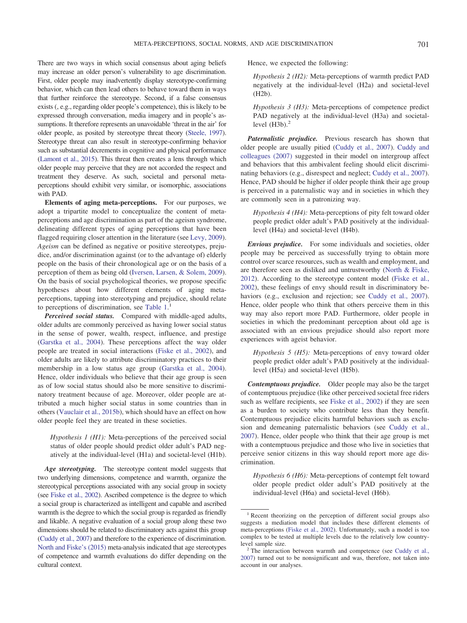<span id="page-3-0"></span>There are two ways in which social consensus about aging beliefs may increase an older person's vulnerability to age discrimination. First, older people may inadvertently display stereotype-confirming behavior, which can then lead others to behave toward them in ways that further reinforce the stereotype. Second, if a false consensus exists (, e.g., regarding older people's competence), this is likely to be expressed through conversation, media imagery and in people's assumptions. It therefore represents an unavoidable 'threat in the air' for older people, as posited by stereotype threat theory [\(Steele, 1997\)](#page-11-9). Stereotype threat can also result in stereotype-confirming behavior such as substantial decrements in cognitive and physical performance [\(Lamont et al., 2015\)](#page-10-2). This threat then creates a lens through which older people may perceive that they are not accorded the respect and treatment they deserve. As such, societal and personal metaperceptions should exhibit very similar, or isomorphic, associations with PAD.

**Elements of aging meta-perceptions.** For our purposes, we adopt a tripartite model to conceptualize the content of metaperceptions and age discrimination as part of the ageism syndrome, delineating different types of aging perceptions that have been flagged requiring closer attention in the literature (see [Levy, 2009\)](#page-10-1). *Ageism* can be defined as negative or positive stereotypes, prejudice, and/or discrimination against (or to the advantage of) elderly people on the basis of their chronological age or on the basis of a perception of them as being old [\(Iversen, Larsen, & Solem, 2009\)](#page-10-15). On the basis of social psychological theories, we propose specific hypotheses about how different elements of aging metaperceptions, tapping into stereotyping and prejudice, should relate to perceptions of discrimination, see Table  $1<sup>1</sup>$ 

*Perceived social status.* Compared with middle-aged adults, older adults are commonly perceived as having lower social status in the sense of power, wealth, respect, influence, and prestige [\(Garstka et al., 2004\)](#page-10-4). These perceptions affect the way older people are treated in social interactions [\(Fiske et al., 2002\)](#page-10-8), and older adults are likely to attribute discriminatory practices to their membership in a low status age group [\(Garstka et al., 2004\)](#page-10-4). Hence, older individuals who believe that their age group is seen as of low social status should also be more sensitive to discriminatory treatment because of age. Moreover, older people are attributed a much higher social status in some countries than in others [\(Vauclair et al., 2015b\)](#page-11-10), which should have an effect on how older people feel they are treated in these societies.

*Hypothesis 1 (H1):* Meta-perceptions of the perceived social status of older people should predict older adult's PAD negatively at the individual-level (H1a) and societal-level (H1b).

*Age stereotyping.* The stereotype content model suggests that two underlying dimensions, competence and warmth, organize the stereotypical perceptions associated with any social group in society (see [Fiske et al., 2002\)](#page-10-8). Ascribed competence is the degree to which a social group is characterized as intelligent and capable and ascribed warmth is the degree to which the social group is regarded as friendly and likable. A negative evaluation of a social group along these two dimensions should be related to discriminatory acts against this group [\(Cuddy et al., 2007\)](#page-10-7) and therefore to the experience of discrimination. [North and Fiske's \(2015\)](#page-11-11) meta-analysis indicated that age stereotypes of competence and warmth evaluations do differ depending on the cultural context.

Hence, we expected the following:

*Hypothesis 2 (H2):* Meta-perceptions of warmth predict PAD negatively at the individual-level (H2a) and societal-level (H2b).

*Hypothesis 3 (H3):* Meta-perceptions of competence predict PAD negatively at the individual-level (H3a) and societallevel  $(H3b)<sup>2</sup>$ 

*Paternalistic prejudice.* Previous research has shown that older people are usually pitied [\(Cuddy et al., 2007\)](#page-10-7). [Cuddy and](#page-10-7) [colleagues \(2007\)](#page-10-7) suggested in their model on intergroup affect and behaviors that this ambivalent feeling should elicit discriminating behaviors (e.g., disrespect and neglect; [Cuddy et al., 2007\)](#page-10-7). Hence, PAD should be higher if older people think their age group is perceived in a paternalistic way and in societies in which they are commonly seen in a patronizing way.

*Hypothesis 4 (H4):* Meta-perceptions of pity felt toward older people predict older adult's PAD positively at the individuallevel (H4a) and societal-level (H4b).

*Envious prejudice.* For some individuals and societies, older people may be perceived as successfully trying to obtain more control over scarce resources, such as wealth and employment, and are therefore seen as disliked and untrustworthy [\(North & Fiske,](#page-11-12) [2012\)](#page-11-12). According to the stereotype content model [\(Fiske et al.,](#page-10-8) [2002\)](#page-10-8), these feelings of envy should result in discriminatory behaviors (e.g., exclusion and rejection; see [Cuddy et al., 2007\)](#page-10-7). Hence, older people who think that others perceive them in this way may also report more PAD. Furthermore, older people in societies in which the predominant perception about old age is associated with an envious prejudice should also report more experiences with ageist behavior.

*Hypothesis 5 (H5):* Meta-perceptions of envy toward older people predict older adult's PAD positively at the individuallevel (H5a) and societal-level (H5b).

*Contemptuous prejudice.* Older people may also be the target of contemptuous prejudice (like other perceived societal free riders such as welfare recipients, see [Fiske et al., 2002\)](#page-10-8) if they are seen as a burden to society who contribute less than they benefit. Contemptuous prejudice elicits harmful behaviors such as exclusion and demeaning paternalistic behaviors (see [Cuddy et al.,](#page-10-7) [2007\)](#page-10-7). Hence, older people who think that their age group is met with a contemptuous prejudice and those who live in societies that perceive senior citizens in this way should report more age discrimination.

*Hypothesis 6 (H6):* Meta-perceptions of contempt felt toward older people predict older adult's PAD positively at the individual-level (H6a) and societal-level (H6b).

<sup>&</sup>lt;sup>1</sup> Recent theorizing on the perception of different social groups also suggests a mediation model that includes these different elements of meta-perceptions [\(Fiske et al., 2002\)](#page-10-8). Unfortunately, such a model is too complex to be tested at multiple levels due to the relatively low countrylevel sample size.

 $2$  The interaction between warmth and competence (see [Cuddy et al.,](#page-10-7) [2007\)](#page-10-7) turned out to be nonsignificant and was, therefore, not taken into account in our analyses.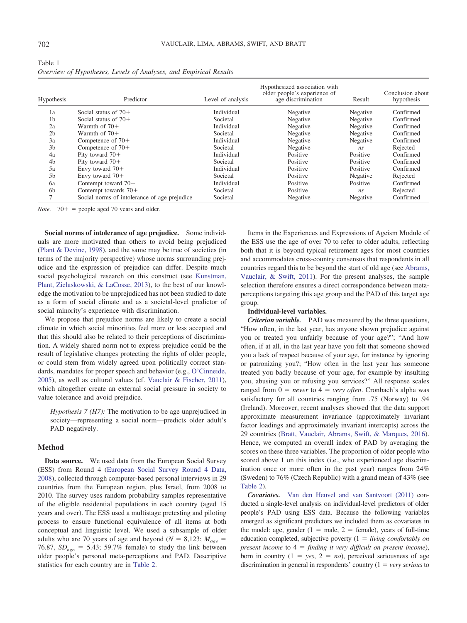<span id="page-4-0"></span>

| Table 1                                                           |  |  |  |
|-------------------------------------------------------------------|--|--|--|
| Overview of Hypotheses, Levels of Analyses, and Empirical Results |  |  |  |

| <b>Hypothesis</b> | Predictor                                    | Level of analysis | Hypothesized association with<br>older people's experience of<br>age discrimination | Result      | Conclusion about<br>hypothesis |
|-------------------|----------------------------------------------|-------------------|-------------------------------------------------------------------------------------|-------------|--------------------------------|
| 1a                | Social status of $70+$                       | Individual        | Negative                                                                            | Negative    | Confirmed                      |
| 1 <sub>b</sub>    | Social status of $70+$                       | Societal          | Negative                                                                            | Negative    | Confirmed                      |
| 2a                | Warmth of $70+$                              | Individual        | Negative                                                                            | Negative    | Confirmed                      |
| 2 <sub>b</sub>    | Warmth of $70+$                              | Societal          | Negative                                                                            | Negative    | Confirmed                      |
| 3a                | Competence of $70+$                          | Individual        | Negative                                                                            | Negative    | Confirmed                      |
| 3 <sub>b</sub>    | Competence of $70+$                          | Societal          | Negative                                                                            | $n_{\rm S}$ | Rejected                       |
| 4a                | Pity toward $70+$                            | Individual        | Positive                                                                            | Positive    | Confirmed                      |
| 4b                | Pity toward $70+$                            | Societal          | Positive                                                                            | Positive    | Confirmed                      |
| 5a                | Envy toward $70+$                            | Individual        | Positive                                                                            | Positive    | Confirmed                      |
| 5b                | Envy toward $70+$                            | Societal          | Positive                                                                            | Negative    | Rejected                       |
| 6a                | Contempt toward $70+$                        | Individual        | Positive                                                                            | Positive    | Confirmed                      |
| 6 <sub>b</sub>    | Contempt towards $70+$                       | Societal          | Positive                                                                            | ns          | Rejected                       |
| 7                 | Social norms of intolerance of age prejudice | Societal          | Negative                                                                            | Negative    | Confirmed                      |

*Note.*  $70 +$  = people aged 70 years and older.

**Social norms of intolerance of age prejudice.** Some individuals are more motivated than others to avoid being prejudiced [\(Plant & Devine, 1998\)](#page-11-1), and the same may be true of societies (in terms of the majority perspective) whose norms surrounding prejudice and the expression of prejudice can differ. Despite much social psychological research on this construct (see [Kunstman,](#page-10-16) [Plant, Zielaskowski, & LaCosse, 2013\)](#page-10-16), to the best of our knowledge the motivation to be unprejudiced has not been studied to date as a form of social climate and as a societal-level predictor of social minority's experience with discrimination.

We propose that prejudice norms are likely to create a social climate in which social minorities feel more or less accepted and that this should also be related to their perceptions of discrimination. A widely shared norm not to express prejudice could be the result of legislative changes protecting the rights of older people, or could stem from widely agreed upon politically correct standards, mandates for proper speech and behavior (e.g., [O'Cinneide,](#page-11-13) [2005\)](#page-11-13), as well as cultural values (cf. [Vauclair & Fischer, 2011\)](#page-11-14), which altogether create an external social pressure in society to value tolerance and avoid prejudice.

*Hypothesis 7 (H7)*: The motivation to be age unprejudiced in society—representing a social norm—predicts older adult's PAD negatively.

#### **Method**

**Data source.** We used data from the European Social Survey (ESS) from Round 4 [\(European Social Survey Round 4 Data,](#page-10-0) [2008\)](#page-10-0), collected through computer-based personal interviews in 29 countries from the European region, plus Israel, from 2008 to 2010. The survey uses random probability samples representative of the eligible residential populations in each country (aged 15 years and over). The ESS used a multistage pretesting and piloting process to ensure functional equivalence of all items at both conceptual and linguistic level. We used a subsample of older adults who are 70 years of age and beyond ( $N = 8,123$ ;  $M_{age} =$ 76.87,  $SD<sub>age</sub> = 5.43$ ; 59.7% female) to study the link between older people's personal meta-perceptions and PAD. Descriptive statistics for each country are in [Table 2.](#page-4-0)

Items in the Experiences and Expressions of Ageism Module of the ESS use the age of over 70 to refer to older adults, reflecting both that it is beyond typical retirement ages for most countries and accommodates cross-country consensus that respondents in all countries regard this to be beyond the start of old age (see [Abrams,](#page-10-17) [Vauclair, & Swift, 2011\)](#page-10-17). For the present analyses, the sample selection therefore ensures a direct correspondence between metaperceptions targeting this age group and the PAD of this target age group.

#### **Individual-level variables.**

*Criterion variable.* PAD was measured by the three questions, "How often, in the last year, has anyone shown prejudice against you or treated you unfairly because of your age?"; "And how often, if at all, in the last year have you felt that someone showed you a lack of respect because of your age, for instance by ignoring or patronizing you?; "How often in the last year has someone treated you badly because of your age, for example by insulting you, abusing you or refusing you services?" All response scales ranged from  $0 = never$  to  $4 = very$  *often*. Cronbach's alpha was satisfactory for all countries ranging from .75 (Norway) to .94 (Ireland). Moreover, recent analyses showed that the data support approximate measurement invariance (approximately invariant factor loadings and approximately invariant intercepts) across the 29 countries [\(Bratt, Vauclair, Abrams, Swift, & Marques, 2016\)](#page-10-18). Hence, we computed an overall index of PAD by averaging the scores on these three variables. The proportion of older people who scored above 1 on this index (i.e., who experienced age discrimination once or more often in the past year) ranges from 24% (Sweden) to 76% (Czech Republic) with a grand mean of 43% (see [Table 2\)](#page-4-0).

*Covariates.* [Van den Heuvel and van Santvoort \(2011\)](#page-11-15) conducted a single-level analysis on individual-level predictors of older people's PAD using ESS data. Because the following variables emerged as significant predictors we included them as covariates in the model: age, gender  $(1 = \text{male}, 2 = \text{female})$ , years of full-time education completed, subjective poverty  $(1 = living \text{ comfortably on})$ present income to  $4 =$  *finding it very difficult on present income*), born in country  $(1 = yes, 2 = no)$ , perceived seriousness of age discrimination in general in respondents' country (1 = very serious to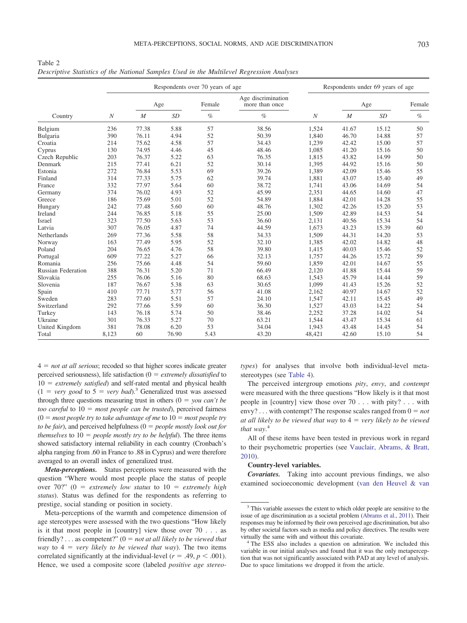Table 2 *Descriptive Statistics of the National Samples Used in the Multilevel Regression Analyses*

|                           |       |                  |           | Respondents over 70 years of age |                                      | Respondents under 69 years of age |                  |       |        |  |
|---------------------------|-------|------------------|-----------|----------------------------------|--------------------------------------|-----------------------------------|------------------|-------|--------|--|
|                           |       | Age              |           | Female                           | Age discrimination<br>more than once |                                   | Age              |       | Female |  |
| Country                   | N     | $\boldsymbol{M}$ | <b>SD</b> | $\%$                             | $\%$                                 | Ν                                 | $\boldsymbol{M}$ | SD    | $\%$   |  |
| Belgium                   | 236   | 77.38            | 5.88      | 57                               | 38.56                                | 1,524                             | 41.67            | 15.12 | 50     |  |
| Bulgaria                  | 390   | 76.11            | 4.94      | 52                               | 50.39                                | 1,840                             | 46.70            | 14.88 | 57     |  |
| Croatia                   | 214   | 75.62            | 4.58      | 57                               | 34.43                                | 1,239                             | 42.42            | 15.00 | 57     |  |
| Cyprus                    | 130   | 74.95            | 4.46      | 45                               | 48.46                                | 1,085                             | 41.20            | 15.16 | 50     |  |
| Czech Republic            | 203   | 76.37            | 5.22      | 63                               | 76.35                                | 1,815                             | 43.82            | 14.99 | 50     |  |
| Denmark                   | 215   | 77.41            | 6.21      | 52                               | 30.14                                | 1,395                             | 44.92            | 15.16 | 50     |  |
| Estonia                   | 272   | 76.84            | 5.53      | 69                               | 39.26                                | 1,389                             | 42.09            | 15.46 | 55     |  |
| Finland                   | 314   | 77.33            | 5.75      | 62                               | 39.74                                | 1,881                             | 43.07            | 15.40 | 49     |  |
| France                    | 332   | 77.97            | 5.64      | 60                               | 38.72                                | 1,741                             | 43.06            | 14.69 | 54     |  |
| Germany                   | 374   | 76.02            | 4.93      | 52                               | 45.99                                | 2,351                             | 44.65            | 14.60 | 47     |  |
| Greece                    | 186   | 75.69            | 5.01      | 52                               | 54.89                                | 1,884                             | 42.01            | 14.28 | 55     |  |
| Hungary                   | 242   | 77.48            | 5.60      | 60                               | 48.76                                | 1,302                             | 42.26            | 15.20 | 53     |  |
| Ireland                   | 244   | 76.85            | 5.18      | 55                               | 25.00                                | 1,509                             | 42.89            | 14.53 | 54     |  |
| <b>Israel</b>             | 323   | 77.50            | 5.63      | 53                               | 36.60                                | 2,131                             | 40.56            | 15.34 | 54     |  |
| Latvia                    | 307   | 76.05            | 4.87      | 74                               | 44.59                                | 1,673                             | 43.23            | 15.39 | 60     |  |
| Netherlands               | 269   | 77.36            | 5.58      | 58                               | 34.33                                | 1,509                             | 44.31            | 14.20 | 53     |  |
| Norway                    | 163   | 77.49            | 5.95      | 52                               | 32.10                                | 1,385                             | 42.02            | 14.82 | 48     |  |
| Poland                    | 204   | 76.65            | 4.76      | 58                               | 39.80                                | 1,415                             | 40.03            | 15.46 | 52     |  |
| Portugal                  | 609   | 77.22            | 5.27      | 66                               | 32.13                                | 1,757                             | 44.26            | 15.72 | 59     |  |
| Romania                   | 256   | 75.66            | 4.48      | 54                               | 59.60                                | 1,859                             | 42.01            | 14.67 | 55     |  |
| <b>Russian Federation</b> | 388   | 76.31            | 5.20      | 71                               | 66.49                                | 2,120                             | 41.88            | 15.44 | 59     |  |
| Slovakia                  | 255   | 76.06            | 5.16      | 80                               | 68.63                                | 1,543                             | 45.79            | 14.44 | 59     |  |
| Slovenia                  | 187   | 76.67            | 5.38      | 63                               | 30.65                                | 1,099                             | 41.43            | 15.26 | 52     |  |
| Spain                     | 410   | 77.71            | 5.77      | 56                               | 41.08                                | 2,162                             | 40.97            | 14.67 | 52     |  |
| Sweden                    | 283   | 77.60            | 5.51      | 57                               | 24.10                                | 1,547                             | 42.11            | 15.45 | 49     |  |
| Switzerland               | 292   | 77.66            | 5.59      | 60                               | 36.30                                | 1,527                             | 43.03            | 14.22 | 54     |  |
| Turkey                    | 143   | 76.18            | 5.74      | 50                               | 38.46                                | 2,252                             | 37.28            | 14.02 | 54     |  |
| Ukraine                   | 301   | 76.33            | 5.27      | 70                               | 63.21                                | 1,544                             | 43.47            | 15.34 | 61     |  |
| United Kingdom            | 381   | 78.08            | 6.20      | 53                               | 34.04                                | 1,943                             | 43.48            | 14.45 | 54     |  |
| Total                     | 8,123 | 60               | 76.90     | 5.43                             | 43.20                                | 48,421                            | 42.60            | 15.10 | 54     |  |

4 - *not at all serious*; recoded so that higher scores indicate greater perceived seriousness), life satisfaction (0 = extremely dissatisfied to  $10 =$  *extremely satisfied*) and self-rated mental and physical health  $(1 = very good to 5 = very bad).$ <sup>3</sup> Generalized trust was assessed through three questions measuring trust in others  $(0 = y \circ u \text{ can't be})$ *too careful* to  $10 = most people can be trusted$ , perceived fairness  $(0 = most people try to take advantage of me to  $10 = most people try$$ *to be fair*), and perceived helpfulness (0 = *people mostly look out for themselves* to  $10 = people mostly try to be helpful. The three items$ showed satisfactory internal reliability in each country (Cronbach's alpha ranging from .60 in France to .88 in Cyprus) and were therefore averaged to an overall index of generalized trust.

*Meta-perceptions.* Status perceptions were measured with the question "Where would most people place the status of people over  $70$ ?" ( $0 =$  *extremely low status* to  $10 =$  *extremely high status*). Status was defined for the respondents as referring to prestige, social standing or position in society.

Meta-perceptions of the warmth and competence dimension of age stereotypes were assessed with the two questions "How likely is it that most people in [country] view those over 70 . . . as friendly? . . . as competent?" (0 = *not at all likely to be viewed that way* to  $4 = \text{very likely to be viewed that way. The two items$ correlated significantly at the individual-level ( $r = .49, p < .001$ ). Hence, we used a composite score (labeled *positive age stereo-* *types*) for analyses that involve both individual-level metastereotypes (see [Table 4\)](#page-7-0).

The perceived intergroup emotions *pity*, *envy*, and *contempt* were measured with the three questions "How likely is it that most people in [country] view those over 70 . . . with pity? . . . with  $envy$ ? . . . with contempt? The response scales ranged from  $0 = not$ *at all likely to be viewed that way* to 4 - *very likely to be viewed that way*. 4

All of these items have been tested in previous work in regard to their psychometric properties (see [Vauclair, Abrams, & Bratt,](#page-11-16) [2010\)](#page-11-16).

#### **Country-level variables.**

*Covariates.* Taking into account previous findings, we also examined socioeconomic development [\(van den Heuvel & van](#page-11-15)

<sup>&</sup>lt;sup>3</sup> This variable assesses the extent to which older people are sensitive to the issue of age discrimination as a societal problem [\(Abrams et al., 2011\)](#page-10-17). Their responses may be informed by their own perceived age discrimination, but also by other societal factors such as media and policy directives. The results were virtually the same with and without this covariate.

<sup>&</sup>lt;sup>4</sup> The ESS also includes a question on admiration. We included this variable in our initial analyses and found that it was the only metaperception that was not significantly associated with PAD at any level of analysis. Due to space limitations we dropped it from the article.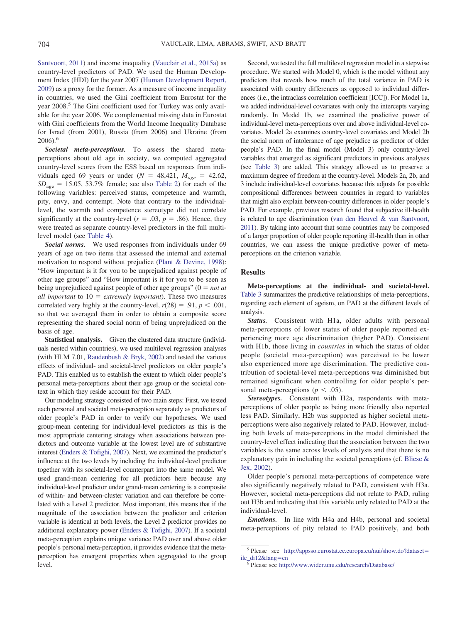<span id="page-6-0"></span>[Santvoort, 2011\)](#page-11-15) and income inequality [\(Vauclair et al., 2015a\)](#page-11-17) as country-level predictors of PAD. We used the Human Development Index (HDI) for the year 2007 [\(Human Development Report,](#page-10-19) [2009\)](#page-10-19) as a proxy for the former. As a measure of income inequality in countries, we used the Gini coefficient from Eurostat for the year 2008.<sup>5</sup> The Gini coefficient used for Turkey was only available for the year 2006. We complemented missing data in Eurostat with Gini coefficients from the World Income Inequality Database for Israel (from 2001), Russia (from 2006) and Ukraine (from  $2006$ ).<sup>6</sup>

*Societal meta-perceptions.* To assess the shared metaperceptions about old age in society, we computed aggregated country-level scores from the ESS based on responses from individuals aged 69 years or under  $(N = 48,421, M_{age} = 42.62,$  $SD<sub>age</sub> = 15.05, 53.7%$  female; see also [Table 2\)](#page-4-0) for each of the following variables: perceived status, competence and warmth, pity, envy, and contempt. Note that contrary to the individuallevel, the warmth and competence stereotype did not correlate significantly at the country-level ( $r = .03$ ,  $p = .86$ ). Hence, they were treated as separate country-level predictors in the full multilevel model (see [Table 4\)](#page-7-0).

*Social norms.* We used responses from individuals under 69 years of age on two items that assessed the internal and external motivation to respond without prejudice [\(Plant & Devine, 1998\)](#page-11-1): "How important is it for you to be unprejudiced against people of other age groups" and "How important is it for you to be seen as being unprejudiced against people of other age groups" (0 = *not at all important* to  $10 =$  *extremely important*). These two measures correlated very highly at the country-level,  $r(28) = .91$ ,  $p < .001$ , so that we averaged them in order to obtain a composite score representing the shared social norm of being unprejudiced on the basis of age.

**Statistical analysis.** Given the clustered data structure (individuals nested within countries), we used multilevel regression analyses (with HLM 7.01, [Raudenbush & Bryk, 2002\)](#page-11-18) and tested the various effects of individual- and societal-level predictors on older people's PAD. This enabled us to establish the extent to which older people's personal meta-perceptions about their age group or the societal context in which they reside account for their PAD.

Our modeling strategy consisted of two main steps: First, we tested each personal and societal meta-perception separately as predictors of older people's PAD in order to verify our hypotheses. We used group-mean centering for individual-level predictors as this is the most appropriate centering strategy when associations between predictors and outcome variable at the lowest level are of substantive interest [\(Enders & Tofighi, 2007\)](#page-10-20). Next, we examined the predictor's influence at the two levels by including the individual-level predictor together with its societal-level counterpart into the same model. We used grand-mean centering for all predictors here because any individual-level predictor under grand-mean centering is a composite of within- and between-cluster variation and can therefore be correlated with a Level 2 predictor. Most important, this means that if the magnitude of the association between the predictor and criterion variable is identical at both levels, the Level 2 predictor provides no additional explanatory power [\(Enders & Tofighi, 2007\)](#page-10-20). If a societal meta-perception explains unique variance PAD over and above older people's personal meta-perception, it provides evidence that the metaperception has emergent properties when aggregated to the group level.

Second, we tested the full multilevel regression model in a stepwise procedure. We started with Model 0, which is the model without any predictors that reveals how much of the total variance in PAD is associated with country differences as opposed to individual differences (i.e., the intraclass correlation coefficient [ICC]). For Model 1a, we added individual-level covariates with only the intercepts varying randomly. In Model 1b, we examined the predictive power of individual-level meta-perceptions over and above individual-level covariates. Model 2a examines country-level covariates and Model 2b the social norm of intolerance of age prejudice as predictor of older people's PAD. In the final model (Model 3) only country-level variables that emerged as significant predictors in previous analyses (see [Table 3\)](#page-6-0) are added. This strategy allowed us to preserve a maximum degree of freedom at the country-level. Models 2a, 2b, and 3 include individual-level covariates because this adjusts for possible compositional differences between countries in regard to variables that might also explain between-country differences in older people's PAD. For example, previous research found that subjective ill-health is related to age discrimination [\(van den Heuvel & van Santvoort,](#page-11-15) [2011\)](#page-11-15). By taking into account that some countries may be composed of a larger proportion of older people reporting ill-health than in other countries, we can assess the unique predictive power of metaperceptions on the criterion variable.

#### **Results**

**Meta-perceptions at the individual- and societal-level.** [Table 3](#page-6-0) summarizes the predictive relationships of meta-perceptions, regarding each element of ageism, on PAD at the different levels of analysis.

*Status.* Consistent with H1a, older adults with personal meta-perceptions of lower status of older people reported experiencing more age discrimination (higher PAD). Consistent with H1b, those living in *countries* in which the status of older people (societal meta-perception) was perceived to be lower also experienced more age discrimination. The predictive contribution of societal-level meta-perceptions was diminished but remained significant when controlling for older people's personal meta-perceptions ( $p < .05$ ).

*Stereotypes.* Consistent with H2a, respondents with metaperceptions of older people as being more friendly also reported less PAD. Similarly, H2b was supported as higher societal metaperceptions were also negatively related to PAD. However, including both levels of meta-perceptions in the model diminished the country-level effect indicating that the association between the two variables is the same across levels of analysis and that there is no explanatory gain in including the societal perceptions (cf. [Bliese &](#page-10-12) [Jex, 2002\)](#page-10-12).

Older people's personal meta-perceptions of competence were also significantly negatively related to PAD, consistent with H3a. However, societal meta-perceptions did not relate to PAD, ruling out H3b and indicating that this variable only related to PAD at the individual-level.

*Emotions.* In line with H4a and H4b, personal and societal meta-perceptions of pity related to PAD positively, and both

<sup>&</sup>lt;sup>5</sup> Please see [http://appsso.eurostat.ec.europa.eu/nui/show.do?dataset](http://appsso.eurostat.ec.europa.eu/nui/show.do?dataset=ilc_di12&lang=en)= [ilc\\_di12&lang](http://appsso.eurostat.ec.europa.eu/nui/show.do?dataset=ilc_di12&lang=en)=en

 $\overline{6}$  Please see <http://www.wider.unu.edu/research/Database/>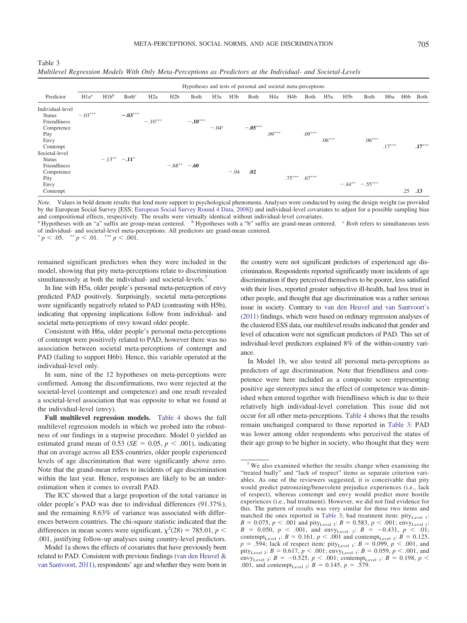| I<br>×<br>. . | I<br>۰. |
|---------------|---------|

<span id="page-7-0"></span>

| Table 3                                                                                                      |  |  |  |  |
|--------------------------------------------------------------------------------------------------------------|--|--|--|--|
| Multilevel Regression Models With Only Meta-Perceptions as Predictors at the Individual- and Societal-Levels |  |  |  |  |

|                                                                                             |           |                   |                   |                  |                | Hypotheses and tests of personal and societal meta-perceptions |                  |                  |           |                  |                  |          |                 |                  |           |                  |                  |          |
|---------------------------------------------------------------------------------------------|-----------|-------------------|-------------------|------------------|----------------|----------------------------------------------------------------|------------------|------------------|-----------|------------------|------------------|----------|-----------------|------------------|-----------|------------------|------------------|----------|
| Predictor                                                                                   | $H1a^a$   | H1b <sup>b</sup>  | Both <sup>c</sup> | H <sub>2</sub> a | H2b            | Both                                                           | H <sub>3</sub> a | H <sub>3</sub> b | Both      | H <sub>4</sub> a | H <sub>4</sub> b | Both     | H <sub>5a</sub> | H <sub>5</sub> b | Both      | H <sub>6</sub> a | H <sub>6</sub> b | Both     |
| Individual-level<br><b>Status</b><br>Friendliness<br>Competence<br>Pity<br>Envy<br>Contempt | $-.03***$ |                   | $-.03***$         | $-.10***$        |                | $-.10***$                                                      | $-.04c$          |                  | $-.05***$ | $.09***$         |                  | $.09***$ | $.06***$        |                  | $.06***$  | $.17***$         |                  | $.17***$ |
| Societal-level<br><b>Status</b><br>Friendliness<br>Competence<br>Pity<br>Envy<br>Contempt   |           | $-.13***$ $-.11*$ |                   |                  | $-.68***$ -.60 |                                                                |                  | $-.04$           | .02       |                  | $.75***$         | $.67***$ |                 | $-.44***$        | $-.55***$ |                  | .25              | .13      |

*Note.* Values in bold denote results that lend more support to psychological phenomena. Analyses were conducted by using the design weight (as provided by the European Social Survey [ESS; [European Social Survey Round 4 Data, 2008\]](#page-10-0)) and individual-level covariates to adjust for a possible sampling bias

and compositional effects, respectively. The results were virtually identical without individual-level covariates.<br><sup>a</sup> Hypotheses with an "a" suffix are group-mean centered. <sup>b</sup> Hypotheses with a "b" suffix are grand-mean of individual- and societal-level meta-perceptions. All predictors are grand-mean centered.

 $p < .05.$  \*\*p < .01. \*\*\*  $p < .001.$ 

remained significant predictors when they were included in the model, showing that pity meta-perceptions relate to discrimination simultaneously at both the individual- and societal-levels.<sup>7</sup>

In line with H5a, older people's personal meta-perception of envy predicted PAD positively. Surprisingly, societal meta-perceptions were significantly negatively related to PAD (contrasting with H5b), indicating that opposing implications follow from individual- and societal meta-perceptions of envy toward older people.

Consistent with H6a, older people's personal meta-perceptions of contempt were positively related to PAD, however there was no association between societal meta-perceptions of contempt and PAD (failing to support H6b). Hence, this variable operated at the individual-level only.

In sum, nine of the 12 hypotheses on meta-perceptions were confirmed. Among the disconfirmations, two were rejected at the societal-level (contempt and competence) and one result revealed a societal-level association that was opposite to what we found at the individual-level (envy).

**Full multilevel regression models.** [Table 4](#page-7-0) shows the full multilevel regression models in which we probed into the robustness of our findings in a stepwise procedure. Model 0 yielded an estimated grand mean of 0.53 ( $SE = 0.05$ ,  $p < .001$ ), indicating that on average across all ESS countries, older people experienced levels of age discrimination that were significantly above zero. Note that the grand-mean refers to incidents of age discrimination within the last year. Hence, responses are likely to be an underestimation when it comes to overall PAD.

The ICC showed that a large proportion of the total variance in older people's PAD was due to individual differences (91.37%), and the remaining 8.63% of variance was associated with differences between countries. The chi-square statistic indicated that the differences in mean scores were significant,  $\chi^2(28) = 785.01$ ,  $p <$ .001, justifying follow-up analyses using country-level predictors.

the country were not significant predictors of experienced age discrimination. Respondents reported significantly more incidents of age discrimination if they perceived themselves to be poorer, less satisfied with their lives, reported greater subjective ill-health, had less trust in other people, and thought that age discrimination was a rather serious issue in society. Contrary to [van den Heuvel and van Santvoort's](#page-11-15) [\(2011\)](#page-11-15) findings, which were based on ordinary regression analyses of the clustered ESS data, our multilevel results indicated that gender and level of education were not significant predictors of PAD. This set of individual-level predictors explained 8% of the within-country variance.

In Model 1b, we also tested all personal meta-perceptions as predictors of age discrimination. Note that friendliness and competence were here included as a composite score representing positive age stereotypes since the effect of competence was diminished when entered together with friendliness which is due to their relatively high individual-level correlation. This issue did not occur for all other meta-perceptions. [Table 4](#page-7-0) shows that the results remain unchanged compared to those reported in [Table 3:](#page-6-0) PAD was lower among older respondents who perceived the status of their age group to be higher in society, who thought that they were

Model 1a shows the effects of covariates that have previously been related to PAD. Consistent with previous findings [\(van den Heuvel &](#page-11-15) [van Santvoort, 2011\)](#page-11-15), respondents' age and whether they were born in

<sup>7</sup> We also examined whether the results change when examining the "treated badly" and "lack of respect" items as separate criterion variables. As one of the reviewers suggested, it is conceivable that pity would predict patronizing/benevolent prejudice experiences (i.e., lack of respect), whereas contempt and envy would predict more hostile experiences (i.e., bad treatment). However, we did not find evidence for this. The pattern of results was very similar for these two items and matched the ones reported in [Table 3;](#page-6-0) bad treatment item:  $\frac{\text{pity}_{\text{Level}}}{\text{1}}$ :  $B = 0.075$ ,  $p < .001$  and pity<sub>Level 2</sub>:  $B = 0.583$ ,  $p < .001$ ; envy<sub>Level 1</sub>:<br>  $B = 0.050$ ,  $p < .001$ , and envy<sub>Level 2</sub>:  $B = -0.431$ ,  $p < .01$ ; contempt<sub>Level</sub>  $_1$ : *B* = 0.161, *p* < .001 and contempt<sub>Level</sub>  $_2$ : *B* = 0.125,  $p = .594$ ; lack of respect item: pity<sub>Level 1</sub>:  $B = 0.099$ ,  $p < .001$ , and pity<sub>Level 2</sub>:  $B = 0.617$ ,  $p < .001$ ; envy<sub>Level 1</sub>:  $B = 0.059$ ,  $p < .001$ , and envy<sub>Level 2</sub>:  $B = -0.525$ ,  $p < .001$ ; contempt<sub>Level 1</sub>:  $B = 0.198$ ,  $p <$ .001, and contempt<sub>Level 2</sub>:  $B = 0.145$ ,  $p = .579$ .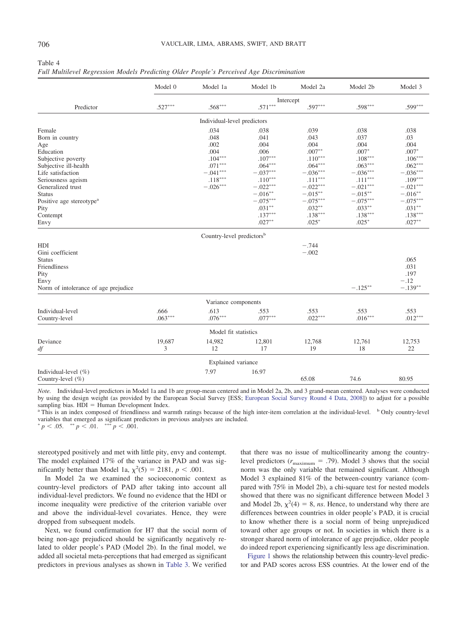<span id="page-8-0"></span>

|                                      | Model 0           | Model 1a                              | Model 1b          | Model 2a          | Model 2b   | Model 3    |
|--------------------------------------|-------------------|---------------------------------------|-------------------|-------------------|------------|------------|
| Predictor                            | $.527***$         | $.598***$                             | $.599***$         |                   |            |            |
|                                      |                   | $.568***$                             | $.571***$         | $.597***$         |            |            |
|                                      |                   | Individual-level predictors           |                   |                   |            |            |
| Female                               |                   | .034                                  | .038              | .039              | .038       | .038       |
| Born in country                      |                   | .048                                  | .041              | .043              | .037       | .03        |
| Age                                  |                   | .002                                  | .004              | .004              | .004       | .004       |
| Education                            |                   | .004                                  | .006              | $.007***$         | $.007*$    | $.007*$    |
| Subjective poverty                   |                   | $.104***$                             | $.107***$         | $.110***$         | $.108***$  | $.106***$  |
| Subjective ill-health                |                   | $.071***$                             | $.064***$         | $.064***$         | $.063***$  | $.062***$  |
| Life satisfaction                    |                   | $-.041***$                            | $-.037***$        | $-.036***$        | $-.036***$ | $-.036***$ |
| Seriousness ageism                   |                   | $.118***$                             | $.110***$         | $.111***$         | $.111***$  | $.109***$  |
| Generalized trust                    |                   | $-.026***$                            | $-.022***$        | $-.022***$        | $-.021***$ | $-.021***$ |
| <b>Status</b>                        |                   |                                       | $-.016**$         | $-.015**$         | $-.015***$ | $-.016**$  |
| Positive age stereotype <sup>a</sup> |                   |                                       | $-.075***$        | $-.075***$        | $-.075***$ | $-.075***$ |
| Pity                                 |                   |                                       | $.031***$         | $.032***$         | $.033***$  | $.031***$  |
| Contempt                             |                   |                                       | $.137***$         | $.138***$         | $.138***$  | $.138***$  |
| Envy                                 |                   |                                       | $.027**$          | $.025*$           | $.025*$    | $.027**$   |
|                                      |                   |                                       |                   |                   |            |            |
|                                      |                   | Country-level predictors <sup>b</sup> |                   |                   |            |            |
| HDI                                  |                   |                                       |                   | $-.744$           |            |            |
| Gini coefficient                     |                   |                                       |                   | $-.002$           |            |            |
| <b>Status</b>                        |                   |                                       |                   |                   |            | .065       |
| Friendliness                         |                   |                                       |                   |                   |            | .031       |
| Pity                                 |                   |                                       |                   |                   |            | .197       |
| Envy                                 |                   |                                       |                   |                   |            | $-.12$     |
| Norm of intolerance of age prejudice |                   |                                       |                   |                   | $-.125***$ | $-.139**$  |
|                                      |                   | Variance components                   |                   |                   |            |            |
|                                      |                   |                                       |                   |                   |            |            |
| Individual-level                     | .666<br>$.063***$ | .613<br>$.076***$                     | .553<br>$.077***$ | .553<br>$.022***$ | .553       | .553       |
| Country-level                        |                   |                                       |                   |                   | $.016***$  | $.012***$  |
|                                      |                   | Model fit statistics                  |                   |                   |            |            |
| Deviance                             | 19,687            | 14,982                                | 12,801            | 12,768            | 12,761     | 12,753     |
| df                                   | 3                 | 12                                    | 17                | 19                | 18         | 22         |
|                                      |                   | Explained variance                    |                   |                   |            |            |
| Individual-level $(\%)$              |                   | 7.97                                  | 16.97             |                   |            |            |
| Country-level (%)                    |                   |                                       |                   | 65.08             | 74.6       | 80.95      |

| Table 4 |  |  |  |                                                                                          |
|---------|--|--|--|------------------------------------------------------------------------------------------|
|         |  |  |  | Full Multilevel Regression Models Predicting Older People's Perceived Age Discrimination |

*Note.* Individual-level predictors in Model 1a and 1b are group-mean centered and in Model 2a, 2b, and 3 grand-mean centered. Analyses were conducted by using the design weight (as provided by the European Social Survey [ESS; [European Social Survey Round 4 Data, 2008\]](#page-10-0)) to adjust for a possible sampling bias.  $HDI = Human Development Index$ .

<sup>a</sup> This is an index composed of friendliness and warmth ratings because of the high inter-item correlation at the individual-level. <sup>b</sup> Only country-level variables that emerged as significant predictors in previous analyses are included.  $p < .05.$  \*\*p < .01. \*\*\*  $p < .001.$ 

stereotyped positively and met with little pity, envy and contempt. The model explained 17% of the variance in PAD and was significantly better than Model 1a,  $\chi^2(5) = 2181$ ,  $p < .001$ .

In Model 2a we examined the socioeconomic context as country-level predictors of PAD after taking into account all individual-level predictors. We found no evidence that the HDI or income inequality were predictive of the criterion variable over and above the individual-level covariates. Hence, they were dropped from subsequent models.

Next, we found confirmation for H7 that the social norm of being non-age prejudiced should be significantly negatively related to older people's PAD (Model 2b). In the final model, we added all societal meta-perceptions that had emerged as significant predictors in previous analyses as shown in [Table 3.](#page-6-0) We verified

that there was no issue of multicollinearity among the countrylevel predictors ( $r_{\text{maximum}} = .79$ ). Model 3 shows that the social norm was the only variable that remained significant. Although Model 3 explained 81% of the between-country variance (compared with 75% in Model 2b), a chi-square test for nested models showed that there was no significant difference between Model 3 and Model 2b,  $\chi^2(4) = 8$ , *ns*. Hence, to understand why there are differences between countries in older people's PAD, it is crucial to know whether there is a social norm of being unprejudiced toward other age groups or not. In societies in which there is a stronger shared norm of intolerance of age prejudice, older people do indeed report experiencing significantly less age discrimination.

[Figure 1](#page-8-0) shows the relationship between this country-level predictor and PAD scores across ESS countries. At the lower end of the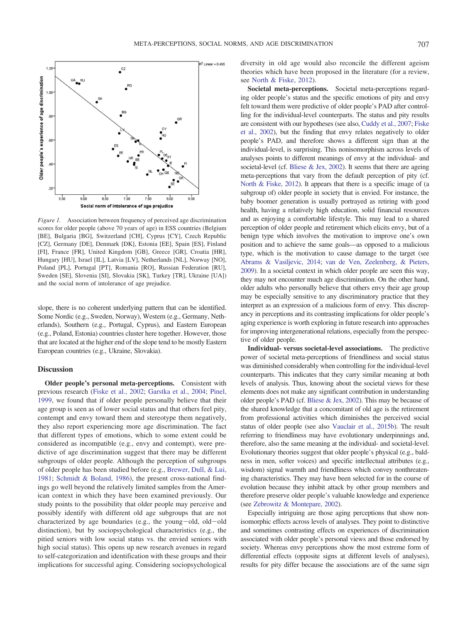

*Figure 1.* Association between frequency of perceived age discrimination scores for older people (above 70 years of age) in ESS countries (Belgium [BE], Bulgaria [BG], Switzerland [CH], Cyprus [CY], Czech Republic [CZ], Germany [DE], Denmark [DK], Estonia [EE], Spain [ES], Finland [FI], France [FR], United Kingdom [GB], Greece [GR], Croatia [HR], Hungary [HU], Israel [IL], Latvia [LV], Netherlands [NL], Norway [NO], Poland [PL], Portugal [PT], Romania [RO], Russian Federation [RU], Sweden [SE], Slovenia [SI], Slovakia [SK], Turkey [TR], Ukraine [UA]) and the social norm of intolerance of age prejudice.

slope, there is no coherent underlying pattern that can be identified. Some Nordic (e.g., Sweden, Norway), Western (e.g., Germany, Netherlands), Southern (e.g., Portugal, Cyprus), and Eastern European (e.g., Poland, Estonia) countries cluster here together. However, those that are located at the higher end of the slope tend to be mostly Eastern European countries (e.g., Ukraine, Slovakia).

#### **Discussion**

**Older people's personal meta-perceptions.** Consistent with previous research [\(Fiske et al., 2002;](#page-10-8) [Garstka et al., 2004;](#page-10-4) [Pinel,](#page-11-4) [1999,](#page-11-4) we found that if older people personally believe that their age group is seen as of lower social status and that others feel pity, contempt and envy toward them and stereotype them negatively, they also report experiencing more age discrimination. The fact that different types of emotions, which to some extent could be considered as incompatible (e.g., envy and contempt), were predictive of age discrimination suggest that there may be different subgroups of older people. Although the perception of subgroups of older people has been studied before (e.g., [Brewer, Dull, & Lui,](#page-10-21) [1981;](#page-10-21) [Schmidt & Boland, 1986\)](#page-11-19), the present cross-national findings go well beyond the relatively limited samples from the American context in which they have been examined previously. Our study points to the possibility that older people may perceive and possibly identify with different old age subgroups that are not characterized by age boundaries (e.g., the young-old, old-old distinction), but by sociopsychological characteristics (e.g., the pitied seniors with low social status vs. the envied seniors with high social status). This opens up new research avenues in regard to self-categorization and identification with these groups and their implications for successful aging. Considering sociopsychological diversity in old age would also reconcile the different ageism theories which have been proposed in the literature (for a review, see [North & Fiske, 2012\)](#page-11-12).

**Societal meta-perceptions.** Societal meta-perceptions regarding older people's status and the specific emotions of pity and envy felt toward them were predictive of older people's PAD after controlling for the individual-level counterparts. The status and pity results are consistent with our hypotheses (see also, [Cuddy et al., 2007;](#page-10-7) [Fiske](#page-10-8) [et al., 2002\)](#page-10-8), but the finding that envy relates negatively to older people's PAD, and therefore shows a different sign than at the individual-level, is surprising. This nonisomorphism across levels of analyses points to different meanings of envy at the individual- and societal-level (cf. [Bliese & Jex, 2002\)](#page-10-12). It seems that there are ageing meta-perceptions that vary from the default perception of pity (cf. [North & Fiske, 2012\)](#page-11-12). It appears that there is a specific image of (a subgroup of) older people in society that is envied. For instance, the baby boomer generation is usually portrayed as retiring with good health, having a relatively high education, solid financial resources and as enjoying a comfortable lifestyle. This may lead to a shared perception of older people and retirement which elicits envy, but of a benign type which involves the motivation to improve one's own position and to achieve the same goals—as opposed to a malicious type, which is the motivation to cause damage to the target (see [Abrams & Vasiljevic, 2014;](#page-10-22) [van de Ven, Zeelenberg, & Pieters,](#page-11-20) [2009\)](#page-11-20). In a societal context in which older people are seen this way, they may not encounter much age discrimination. On the other hand, older adults who personally believe that others envy their age group may be especially sensitive to any discriminatory practice that they interpret as an expression of a malicious form of envy. This discrepancy in perceptions and its contrasting implications for older people's aging experience is worth exploring in future research into approaches for improving intergenerational relations, especially from the perspective of older people.

**Individual- versus societal-level associations.** The predictive power of societal meta-perceptions of friendliness and social status was diminished considerably when controlling for the individual-level counterparts. This indicates that they carry similar meaning at both levels of analysis. Thus, knowing about the societal views for these elements does not make any significant contribution in understanding older people's PAD (cf. [Bliese & Jex, 2002\)](#page-10-12). This may be because of the shared knowledge that a concomitant of old age is the retirement from professional activities which diminishes the perceived social status of older people (see also [Vauclair et al., 2015b\)](#page-11-10). The result referring to friendliness may have evolutionary underpinnings and, therefore, also the same meaning at the individual- and societal-level. Evolutionary theories suggest that older people's physical (e.g., baldness in men, softer voices) and specific intellectual attributes (e.g., wisdom) signal warmth and friendliness which convey nonthreatening characteristics. They may have been selected for in the course of evolution because they inhibit attack by other group members and therefore preserve older people's valuable knowledge and experience (see [Zebrowitz & Montepare, 2002\)](#page-11-21).

Especially intriguing are those aging perceptions that show nonisomorphic effects across levels of analyses. They point to distinctive and sometimes contrasting effects on experiences of discrimination associated with older people's personal views and those endorsed by society. Whereas envy perceptions show the most extreme form of differential effects (opposite signs at different levels of analyses), results for pity differ because the associations are of the same sign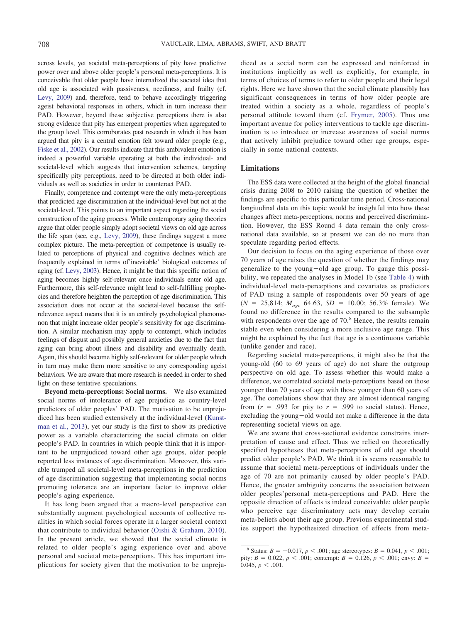across levels, yet societal meta-perceptions of pity have predictive power over and above older people's personal meta-perceptions. It is conceivable that older people have internalized the societal idea that old age is associated with passiveness, neediness, and frailty (cf. [Levy, 2009\)](#page-10-1) and, therefore, tend to behave accordingly triggering ageist behavioral responses in others, which in turn increase their PAD. However, beyond these subjective perceptions there is also strong evidence that pity has emergent properties when aggregated to the group level. This corroborates past research in which it has been argued that pity is a central emotion felt toward older people (e.g., [Fiske et al., 2002\)](#page-10-8). Our results indicate that this ambivalent emotion is indeed a powerful variable operating at both the individual- and societal-level which suggests that intervention schemes, targeting specifically pity perceptions, need to be directed at both older individuals as well as societies in order to counteract PAD.

Finally, competence and contempt were the only meta-perceptions that predicted age discrimination at the individual-level but not at the societal-level. This points to an important aspect regarding the social construction of the aging process. While contemporary aging theories argue that older people simply adopt societal views on old age across the life span (see, e.g., [Levy, 2009\)](#page-10-1), these findings suggest a more complex picture. The meta-perception of competence is usually related to perceptions of physical and cognitive declines which are frequently explained in terms of'inevitable' biological outcomes of aging (cf. [Levy, 2003\)](#page-10-23). Hence, it might be that this specific notion of aging becomes highly self-relevant once individuals enter old age. Furthermore, this self-relevance might lead to self-fulfilling prophecies and therefore heighten the perception of age discrimination. This association does not occur at the societal-level because the selfrelevance aspect means that it is an entirely psychological phenomenon that might increase older people's sensitivity for age discrimination. A similar mechanism may apply to contempt, which includes feelings of disgust and possibly general anxieties due to the fact that aging can bring about illness and disability and eventually death. Again, this should become highly self-relevant for older people which in turn may make them more sensitive to any corresponding ageist behaviors. We are aware that more research is needed in order to shed light on these tentative speculations.

<span id="page-10-22"></span><span id="page-10-17"></span><span id="page-10-12"></span><span id="page-10-3"></span>**Beyond meta-perceptions: Social norms.** We also examined social norms of intolerance of age prejudice as country-level predictors of older peoples' PAD. The motivation to be unprejudiced has been studied extensively at the individual-level [\(Kunst](#page-10-16)[man et al., 2013\)](#page-10-16), yet our study is the first to show its predictive power as a variable characterizing the social climate on older people's PAD. In countries in which people think that it is important to be unprejudiced toward other age groups, older people reported less instances of age discrimination. Moreover, this variable trumped all societal-level meta-perceptions in the prediction of age discrimination suggesting that implementing social norms promoting tolerance are an important factor to improve older people's aging experience.

<span id="page-10-21"></span><span id="page-10-18"></span><span id="page-10-9"></span><span id="page-10-7"></span>It has long been argued that a macro-level perspective can substantially augment psychological accounts of collective realities in which social forces operate in a larger societal context that contribute to individual behavior [\(Oishi & Graham, 2010\)](#page-11-0). In the present article, we showed that the social climate is related to older people's aging experience over and above personal and societal meta-perceptions. This has important implications for society given that the motivation to be unpreju<span id="page-10-20"></span><span id="page-10-13"></span><span id="page-10-10"></span>diced as a social norm can be expressed and reinforced in institutions implicitly as well as explicitly, for example, in terms of choices of terms to refer to older people and their legal rights. Here we have shown that the social climate plausibly has significant consequences in terms of how older people are treated within a society as a whole, regardless of people's personal attitude toward them (cf. [Frymer, 2005\)](#page-10-24). Thus one important avenue for policy interventions to tackle age discrimination is to introduce or increase awareness of social norms that actively inhibit prejudice toward other age groups, especially in some national contexts.

#### <span id="page-10-6"></span><span id="page-10-0"></span>**Limitations**

<span id="page-10-14"></span>The ESS data were collected at the height of the global financial crisis during 2008 to 2010 raising the question of whether the findings are specific to this particular time period. Cross-national longitudinal data on this topic would be insightful into how these changes affect meta-perceptions, norms and perceived discrimination. However, the ESS Round 4 data remain the only crossnational data available, so at present we can do no more than speculate regarding period effects.

<span id="page-10-8"></span><span id="page-10-5"></span>Our decision to focus on the aging experience of those over 70 years of age raises the question of whether the findings may generalize to the young-old age group. To gauge this possibility, we repeated the analyses in Model 1b (see [Table 4\)](#page-7-0) with individual-level meta-perceptions and covariates as predictors of PAD using a sample of respondents over 50 years of age  $(N = 25,814; M_{age}$  64.63,  $SD = 10.00; 56.3%$  female). We found no difference in the results compared to the subsample with respondents over the age of  $70<sup>8</sup>$  Hence, the results remain stable even when considering a more inclusive age range. This might be explained by the fact that age is a continuous variable (unlike gender and race).

<span id="page-10-24"></span><span id="page-10-19"></span><span id="page-10-15"></span><span id="page-10-4"></span>Regarding societal meta-perceptions, it might also be that the young-old (60 to 69 years of age) do not share the outgroup perspective on old age. To assess whether this would make a difference, we correlated societal meta-perceptions based on those younger than 70 years of age with those younger than 60 years of age. The correlations show that they are almost identical ranging from  $(r = .993$  for pity to  $r = .999$  to social status). Hence, excluding the young-old would not make a difference in the data representing societal views on age.

<span id="page-10-16"></span><span id="page-10-11"></span><span id="page-10-2"></span>We are aware that cross-sectional evidence constrains interpretation of cause and effect. Thus we relied on theoretically specified hypotheses that meta-perceptions of old age should predict older people's PAD. We think it is seems reasonable to assume that societal meta-perceptions of individuals under the age of 70 are not primarily caused by older people's PAD. Hence, the greater ambiguity concerns the association between older peoples'personal meta-perceptions and PAD. Here the opposite direction of effects is indeed conceivable: older people who perceive age discriminatory acts may develop certain meta-beliefs about their age group. Previous experimental studies support the hypothesized direction of effects from meta-

<span id="page-10-23"></span><span id="page-10-1"></span><sup>&</sup>lt;sup>8</sup> Status:  $B = -0.017$ ,  $p < .001$ ; age stereotypes:  $B = 0.041$ ,  $p < .001$ ; pity:  $B = 0.022$ ,  $p < .001$ ; contempt:  $B = 0.126$ ,  $p < .001$ ; envy:  $B =$  $0.045$ ,  $p < .001$ .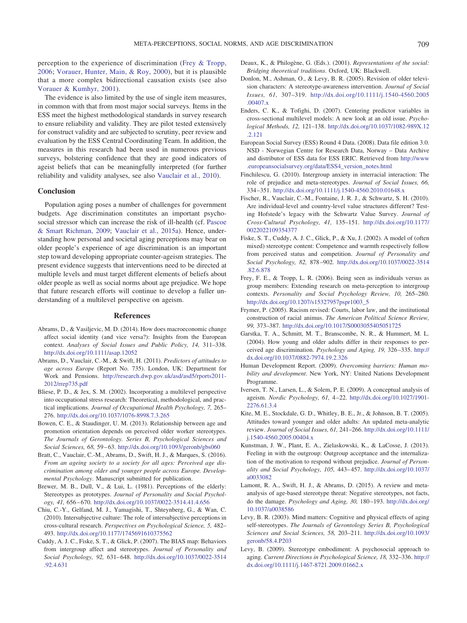<span id="page-11-7"></span>perception to the experience of discrimination [\(Frey & Tropp,](#page-10-5) [2006;](#page-10-5) [Vorauer, Hunter, Main, & Roy, 2000\)](#page-11-22), but it is plausible that a more complex bidirectional causation exists (see also [Vorauer & Kumhyr, 2001\)](#page-11-23).

<span id="page-11-8"></span>The evidence is also limited by the use of single item measures, in common with that from most major social surveys. Items in the ESS meet the highest methodological standards in survey research to ensure reliability and validity. They are pilot tested extensively for construct validity and are subjected to scrutiny, peer review and evaluation by the ESS Central Coordinating Team. In addition, the measures in this research had been used in numerous previous surveys, bolstering confidence that they are good indicators of ageist beliefs that can be meaningfully interpreted (for further reliability and validity analyses, see also [Vauclair et al., 2010\)](#page-11-16).

#### <span id="page-11-13"></span><span id="page-11-12"></span><span id="page-11-11"></span>**Conclusion**

<span id="page-11-24"></span><span id="page-11-4"></span><span id="page-11-0"></span>Population aging poses a number of challenges for government budgets. Age discrimination constitutes an important psychosocial stressor which can increase the risk of ill-health (cf. [Pascoe](#page-11-24) [& Smart Richman, 2009;](#page-11-24) [Vauclair et al., 2015a\)](#page-11-17). Hence, understanding how personal and societal aging perceptions may bear on older people's experience of age discrimination is an important step toward developing appropriate counter-ageism strategies. The present evidence suggests that interventions need to be directed at multiple levels and must target different elements of beliefs about older people as well as social norms about age prejudice. We hope that future research efforts will continue to develop a fuller understanding of a multilevel perspective on ageism.

#### **References**

- <span id="page-11-18"></span><span id="page-11-5"></span><span id="page-11-1"></span>Abrams, D., & Vasiljevic, M. D. (2014). How does macroeconomic change affect social identity (and vice versa?): Insights from the European context. *Analyses of Social Issues and Public Policy, 14,* 311–338. <http://dx.doi.org/10.1111/asap.12052>
- <span id="page-11-19"></span>Abrams, D., Vauclair, C.-M., & Swift, H. (2011). *Predictors of attitudes to age across Europe* (Report No. 735). London, UK: Department for Work and Pensions. [http://research.dwp.gov.uk/asd/asd5/rports2011-](http://research.dwp.gov.uk/asd/asd5/rports2011-2012/rrep735.pdf) [2012/rrep735.pdf](http://research.dwp.gov.uk/asd/asd5/rports2011-2012/rrep735.pdf)
- <span id="page-11-9"></span><span id="page-11-6"></span>Bliese, P. D., & Jex, S. M. (2002). Incorporating a multilevel perspective into occupational stress research: Theoretical, methodological, and practical implications. *Journal of Occupational Health Psychology, 7,* 265– 276. <http://dx.doi.org/10.1037/1076-8998.7.3.265>
- <span id="page-11-15"></span>Bowen, C. E., & Staudinger, U. M. (2013). Relationship between age and promotion orientation depends on perceived older worker stereotypes. *The Journals of Gerontology. Series B, Psychological Sciences and Social Sciences, 68,* 59–63. <http://dx.doi.org/10.1093/geronb/gbs060>
- Bratt, C., Vauclair, C.-M., Abrams, D., Swift, H. J., & Marques, S. (2016). *From an ageing society to a society for all ages: Perceived age discrimination among older and younger people across Europe. Developmental Psychology*. Manuscript submitted for publication.
- Brewer, M. B., Dull, V., & Lui, L. (1981). Perceptions of the elderly: Stereotypes as prototypes. *Journal of Personality and Social Psychology, 41,* 656–670. <http://dx.doi.org/10.1037/0022-3514.41.4.656>
- Chiu, C.-Y., Gelfand, M. J., Yamagishi, T., Shteynberg, G., & Wan, C. (2010). Intersubjective culture: The role of intersubjective perceptions in cross-cultural research. *Perspectives on Psychological Science, 5,* 482– 493. <http://dx.doi.org/10.1177/1745691610375562>
- Cuddy, A. J. C., Fiske, S. T., & Glick, P. (2007). The BIAS map: Behaviors from intergroup affect and stereotypes. *Journal of Personality and Social Psychology, 92,* 631–648. [http://dx.doi.org/10.1037/0022-3514](http://dx.doi.org/10.1037/0022-3514.92.4.631) [.92.4.631](http://dx.doi.org/10.1037/0022-3514.92.4.631)
- <span id="page-11-20"></span>Deaux, K., & Philogène, G. (Eds.). (2001). *Representations of the social: Bridging theoretical traditions*. Oxford, UK: Blackwell.
- <span id="page-11-16"></span>Donlon, M., Ashman, O., & Levy, B. R. (2005). Revision of older television characters: A stereotype-awareness intervention. *Journal of Social Issues, 61,* 307–319. [http://dx.doi.org/10.1111/j.1540-4560.2005](http://dx.doi.org/10.1111/j.1540-4560.2005.00407.x) [.00407.x](http://dx.doi.org/10.1111/j.1540-4560.2005.00407.x)
- <span id="page-11-14"></span>Enders, C. K., & Tofighi, D. (2007). Centering predictor variables in cross-sectional multilevel models: A new look at an old issue. *Psychological Methods, 12,* 121–138. [http://dx.doi.org/10.1037/1082-989X.12](http://dx.doi.org/10.1037/1082-989X.12.2.121) [.2.121](http://dx.doi.org/10.1037/1082-989X.12.2.121)
- <span id="page-11-17"></span>European Social Survey (ESS) Round 4 Data. (2008). Data file edition 3.0. NSD - Norwegian Centre for Research Data, Norway – Data Archive and distributor of ESS data for ESS ERIC. Retrieved from [http://www](http://www.europeansocialsurvey.org/data/ESS4_version_notes.html) [.europeansocialsurvey.org/data/ESS4\\_version\\_notes.html](http://www.europeansocialsurvey.org/data/ESS4_version_notes.html)
- Finchilescu, G. (2010). Intergroup anxiety in interracial interaction: The role of prejudice and meta-stereotypes. *Journal of Social Issues, 66,* 334–351. <http://dx.doi.org/10.1111/j.1540-4560.2010.01648.x>
- <span id="page-11-10"></span>Fischer, R., Vauclair, C.-M., Fontaine, J. R. J., & Schwartz, S. H. (2010). Are individual-level and country-level value structures different? Testing Hofstede's legacy with the Schwartz Value Survey. *Journal of Cross-Cultural Psychology, 41,* 135–151. [http://dx.doi.org/10.1177/](http://dx.doi.org/10.1177/0022022109354377) [0022022109354377](http://dx.doi.org/10.1177/0022022109354377)
- <span id="page-11-22"></span>Fiske, S. T., Cuddy, A. J. C., Glick, P., & Xu, J. (2002). A model of (often mixed) stereotype content: Competence and warmth respectively follow from perceived status and competition. *Journal of Personality and Social Psychology, 82,* 878–902. [http://dx.doi.org/10.1037/0022-3514](http://dx.doi.org/10.1037/0022-3514.82.6.878) [.82.6.878](http://dx.doi.org/10.1037/0022-3514.82.6.878)
- <span id="page-11-23"></span>Frey, F. E., & Tropp, L. R. (2006). Being seen as individuals versus as group members: Extending research on meta-perception to intergroup contexts. *Personality and Social Psychology Review, 10,* 265–280. [http://dx.doi.org/10.1207/s15327957pspr1003\\_5](http://dx.doi.org/10.1207/s15327957pspr1003_5)
- <span id="page-11-3"></span>Frymer, P. (2005). Racism revised: Courts, labor law, and the institutional construction of racial animus. *The American Political Science Review, 99,* 373–387. <http://dx.doi.org/10.1017/S0003055405051725>
- <span id="page-11-2"></span>Garstka, T. A., Schmitt, M. T., Branscombe, N. R., & Hummert, M. L. (2004). How young and older adults differ in their responses to perceived age discrimination. *Psychology and Aging, 19,* 326–335. [http://](http://dx.doi.org/10.1037/0882-7974.19.2.326) [dx.doi.org/10.1037/0882-7974.19.2.326](http://dx.doi.org/10.1037/0882-7974.19.2.326)
- Human Development Report. (2009). *Overcoming barriers: Human mobility and development*. New York, NY: United Nations Development Programme.
- <span id="page-11-21"></span>Iversen, T. N., Larsen, L., & Solem, P. E. (2009). A conceptual analysis of ageism. *Nordic Psychology, 61,* 4–22. [http://dx.doi.org/10.1027/1901-](http://dx.doi.org/10.1027/1901-2276.61.3.4) [2276.61.3.4](http://dx.doi.org/10.1027/1901-2276.61.3.4)
- Kite, M. E., Stockdale, G. D., Whitley, B. E., Jr., & Johnson, B. T. (2005). Attitudes toward younger and older adults: An updated meta-analytic review. *Journal of Social Issues, 61,* 241–266. [http://dx.doi.org/10.1111/](http://dx.doi.org/10.1111/j.1540-4560.2005.00404.x) [j.1540-4560.2005.00404.x](http://dx.doi.org/10.1111/j.1540-4560.2005.00404.x)
- Kunstman, J. W., Plant, E. A., Zielaskowski, K., & LaCosse, J. (2013). Feeling in with the outgroup: Outgroup acceptance and the internalization of the motivation to respond without prejudice. *Journal of Personality and Social Psychology, 105,* 443–457. [http://dx.doi.org/10.1037/](http://dx.doi.org/10.1037/a0033082) [a0033082](http://dx.doi.org/10.1037/a0033082)
- Lamont, R. A., Swift, H. J., & Abrams, D. (2015). A review and metaanalysis of age-based stereotype threat: Negative stereotypes, not facts, do the damage. *Psychology and Aging, 30,* 180–193. [http://dx.doi.org/](http://dx.doi.org/10.1037/a0038586) [10.1037/a0038586](http://dx.doi.org/10.1037/a0038586)
- Levy, B. R. (2003). Mind matters: Cognitive and physical effects of aging self-stereotypes. *The Journals of Gerontology Series B, Psychological Sciences and Social Sciences, 58,* 203–211. [http://dx.doi.org/10.1093/](http://dx.doi.org/10.1093/geronb/58.4.P203) [geronb/58.4.P203](http://dx.doi.org/10.1093/geronb/58.4.P203)
- Levy, B. (2009). Stereotype embodiment: A psychosocial approach to aging. *Current Directions in Psychological Science, 18,* 332–336. [http://](http://dx.doi.org/10.1111/j.1467-8721.2009.01662.x) [dx.doi.org/10.1111/j.1467-8721.2009.01662.x](http://dx.doi.org/10.1111/j.1467-8721.2009.01662.x)